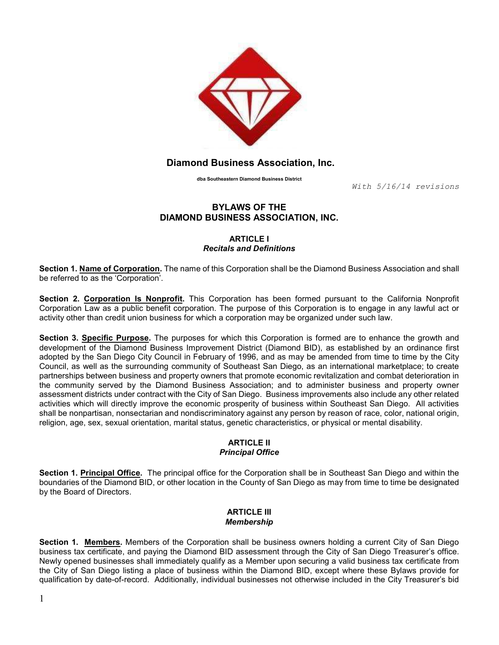

# Diamond Business Association, Inc.

dba Southeastern Diamond Business District

With 5/16/14 revisions

# BYLAWS OF THE DIAMOND BUSINESS ASSOCIATION, INC.

#### ARTICLE I Recitals and Definitions

Section 1. Name of Corporation. The name of this Corporation shall be the Diamond Business Association and shall be referred to as the 'Corporation'.

Section 2. Corporation Is Nonprofit. This Corporation has been formed pursuant to the California Nonprofit Corporation Law as a public benefit corporation. The purpose of this Corporation is to engage in any lawful act or activity other than credit union business for which a corporation may be organized under such law.

Section 3. Specific Purpose. The purposes for which this Corporation is formed are to enhance the growth and development of the Diamond Business Improvement District (Diamond BID), as established by an ordinance first adopted by the San Diego City Council in February of 1996, and as may be amended from time to time by the City Council, as well as the surrounding community of Southeast San Diego, as an international marketplace; to create partnerships between business and property owners that promote economic revitalization and combat deterioration in the community served by the Diamond Business Association; and to administer business and property owner assessment districts under contract with the City of San Diego. Business improvements also include any other related activities which will directly improve the economic prosperity of business within Southeast San Diego. All activities shall be nonpartisan, nonsectarian and nondiscriminatory against any person by reason of race, color, national origin, religion, age, sex, sexual orientation, marital status, genetic characteristics, or physical or mental disability.

## ARTICLE II Principal Office

Section 1. Principal Office. The principal office for the Corporation shall be in Southeast San Diego and within the boundaries of the Diamond BID, or other location in the County of San Diego as may from time to time be designated by the Board of Directors.

# **ARTICLE III** Membership

Section 1. Members. Members of the Corporation shall be business owners holding a current City of San Diego business tax certificate, and paying the Diamond BID assessment through the City of San Diego Treasurer's office. Newly opened businesses shall immediately qualify as a Member upon securing a valid business tax certificate from the City of San Diego listing a place of business within the Diamond BID, except where these Bylaws provide for qualification by date-of-record. Additionally, individual businesses not otherwise included in the City Treasurer's bid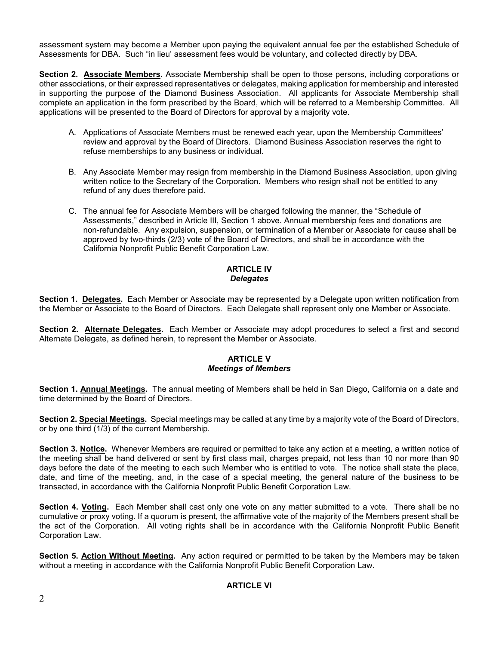assessment system may become a Member upon paying the equivalent annual fee per the established Schedule of Assessments for DBA. Such "in lieu' assessment fees would be voluntary, and collected directly by DBA.

Section 2. Associate Members. Associate Membership shall be open to those persons, including corporations or other associations, or their expressed representatives or delegates, making application for membership and interested in supporting the purpose of the Diamond Business Association. All applicants for Associate Membership shall complete an application in the form prescribed by the Board, which will be referred to a Membership Committee. All applications will be presented to the Board of Directors for approval by a majority vote.

- A. Applications of Associate Members must be renewed each year, upon the Membership Committees' review and approval by the Board of Directors. Diamond Business Association reserves the right to refuse memberships to any business or individual.
- B. Any Associate Member may resign from membership in the Diamond Business Association, upon giving written notice to the Secretary of the Corporation. Members who resign shall not be entitled to any refund of any dues therefore paid.
- C. The annual fee for Associate Members will be charged following the manner, the "Schedule of Assessments," described in Article III, Section 1 above. Annual membership fees and donations are non-refundable. Any expulsion, suspension, or termination of a Member or Associate for cause shall be approved by two-thirds (2/3) vote of the Board of Directors, and shall be in accordance with the California Nonprofit Public Benefit Corporation Law.

# ARTICLE IV **Delegates**

Section 1. Delegates. Each Member or Associate may be represented by a Delegate upon written notification from the Member or Associate to the Board of Directors. Each Delegate shall represent only one Member or Associate.

Section 2. Alternate Delegates. Each Member or Associate may adopt procedures to select a first and second Alternate Delegate, as defined herein, to represent the Member or Associate.

#### ARTICLE V Meetings of Members

Section 1. Annual Meetings. The annual meeting of Members shall be held in San Diego, California on a date and time determined by the Board of Directors.

Section 2. Special Meetings. Special meetings may be called at any time by a majority vote of the Board of Directors, or by one third (1/3) of the current Membership.

Section 3. Notice. Whenever Members are required or permitted to take any action at a meeting, a written notice of the meeting shall be hand delivered or sent by first class mail, charges prepaid, not less than 10 nor more than 90 days before the date of the meeting to each such Member who is entitled to vote. The notice shall state the place, date, and time of the meeting, and, in the case of a special meeting, the general nature of the business to be transacted, in accordance with the California Nonprofit Public Benefit Corporation Law.

Section 4. Voting. Each Member shall cast only one vote on any matter submitted to a vote. There shall be no cumulative or proxy voting. If a quorum is present, the affirmative vote of the majority of the Members present shall be the act of the Corporation. All voting rights shall be in accordance with the California Nonprofit Public Benefit Corporation Law.

Section 5. Action Without Meeting. Any action required or permitted to be taken by the Members may be taken without a meeting in accordance with the California Nonprofit Public Benefit Corporation Law.

## ARTICLE VI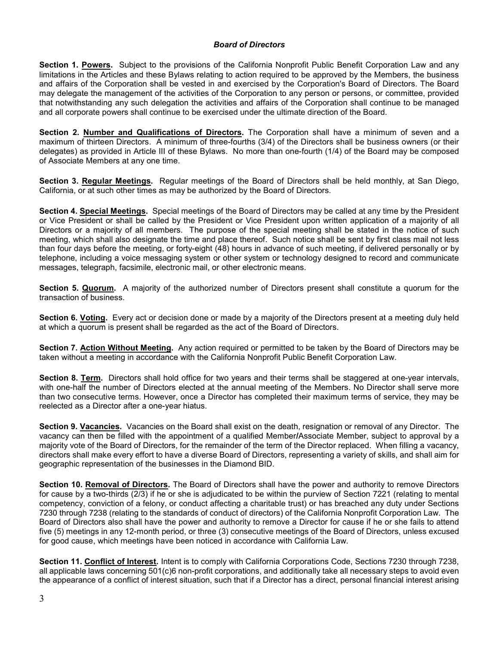## Board of Directors

Section 1. Powers. Subject to the provisions of the California Nonprofit Public Benefit Corporation Law and any limitations in the Articles and these Bylaws relating to action required to be approved by the Members, the business and affairs of the Corporation shall be vested in and exercised by the Corporation's Board of Directors. The Board may delegate the management of the activities of the Corporation to any person or persons, or committee, provided that notwithstanding any such delegation the activities and affairs of the Corporation shall continue to be managed and all corporate powers shall continue to be exercised under the ultimate direction of the Board.

Section 2. Number and Qualifications of Directors. The Corporation shall have a minimum of seven and a maximum of thirteen Directors. A minimum of three-fourths (3/4) of the Directors shall be business owners (or their delegates) as provided in Article III of these Bylaws. No more than one-fourth (1/4) of the Board may be composed of Associate Members at any one time.

Section 3. Regular Meetings. Regular meetings of the Board of Directors shall be held monthly, at San Diego, California, or at such other times as may be authorized by the Board of Directors.

Section 4. Special Meetings. Special meetings of the Board of Directors may be called at any time by the President or Vice President or shall be called by the President or Vice President upon written application of a majority of all Directors or a majority of all members. The purpose of the special meeting shall be stated in the notice of such meeting, which shall also designate the time and place thereof. Such notice shall be sent by first class mail not less than four days before the meeting, or forty-eight (48) hours in advance of such meeting, if delivered personally or by telephone, including a voice messaging system or other system or technology designed to record and communicate messages, telegraph, facsimile, electronic mail, or other electronic means.

Section 5. Quorum. A majority of the authorized number of Directors present shall constitute a quorum for the transaction of business.

Section 6. Voting. Every act or decision done or made by a majority of the Directors present at a meeting duly held at which a quorum is present shall be regarded as the act of the Board of Directors.

Section 7. Action Without Meeting. Any action required or permitted to be taken by the Board of Directors may be taken without a meeting in accordance with the California Nonprofit Public Benefit Corporation Law.

Section 8. Term. Directors shall hold office for two years and their terms shall be staggered at one-year intervals, with one-half the number of Directors elected at the annual meeting of the Members. No Director shall serve more than two consecutive terms. However, once a Director has completed their maximum terms of service, they may be reelected as a Director after a one-year hiatus.

Section 9. Vacancies. Vacancies on the Board shall exist on the death, resignation or removal of any Director. The vacancy can then be filled with the appointment of a qualified Member/Associate Member, subject to approval by a majority vote of the Board of Directors, for the remainder of the term of the Director replaced. When filling a vacancy, directors shall make every effort to have a diverse Board of Directors, representing a variety of skills, and shall aim for geographic representation of the businesses in the Diamond BID.

Section 10. Removal of Directors. The Board of Directors shall have the power and authority to remove Directors for cause by a two-thirds (2/3) if he or she is adjudicated to be within the purview of Section 7221 (relating to mental competency, conviction of a felony, or conduct affecting a charitable trust) or has breached any duty under Sections 7230 through 7238 (relating to the standards of conduct of directors) of the California Nonprofit Corporation Law. The Board of Directors also shall have the power and authority to remove a Director for cause if he or she fails to attend five (5) meetings in any 12-month period, or three (3) consecutive meetings of the Board of Directors, unless excused for good cause, which meetings have been noticed in accordance with California Law.

Section 11. Conflict of Interest. Intent is to comply with California Corporations Code, Sections 7230 through 7238, all applicable laws concerning 501(c)6 non-profit corporations, and additionally take all necessary steps to avoid even the appearance of a conflict of interest situation, such that if a Director has a direct, personal financial interest arising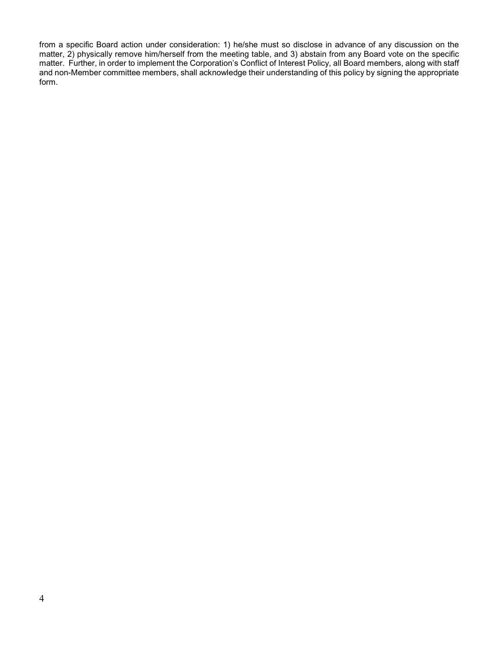from a specific Board action under consideration: 1) he/she must so disclose in advance of any discussion on the matter, 2) physically remove him/herself from the meeting table, and 3) abstain from any Board vote on the specific matter. Further, in order to implement the Corporation's Conflict of Interest Policy, all Board members, along with staff and non-Member committee members, shall acknowledge their understanding of this policy by signing the appropriate form.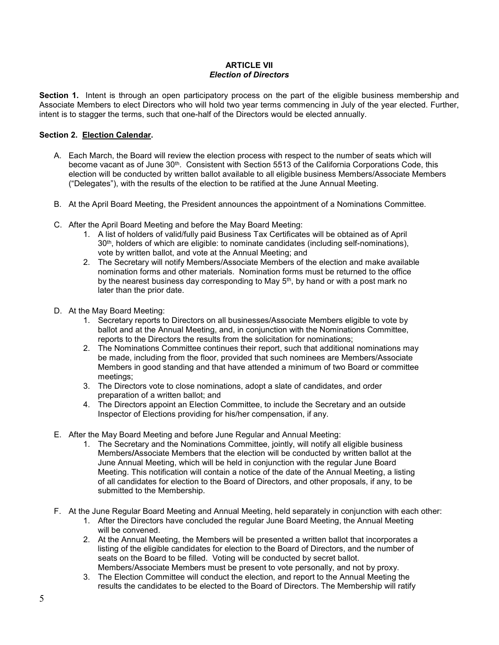#### ARTICLE VII Election of Directors

Section 1. Intent is through an open participatory process on the part of the eligible business membership and Associate Members to elect Directors who will hold two year terms commencing in July of the year elected. Further, intent is to stagger the terms, such that one-half of the Directors would be elected annually.

#### Section 2. Election Calendar.

- A. Each March, the Board will review the election process with respect to the number of seats which will become vacant as of June 30<sup>th</sup>. Consistent with Section 5513 of the California Corporations Code, this election will be conducted by written ballot available to all eligible business Members/Associate Members ("Delegates"), with the results of the election to be ratified at the June Annual Meeting.
- B. At the April Board Meeting, the President announces the appointment of a Nominations Committee.
- C. After the April Board Meeting and before the May Board Meeting:
	- 1. A list of holders of valid/fully paid Business Tax Certificates will be obtained as of April 30th, holders of which are eligible: to nominate candidates (including self-nominations), vote by written ballot, and vote at the Annual Meeting; and
	- 2. The Secretary will notify Members/Associate Members of the election and make available nomination forms and other materials. Nomination forms must be returned to the office by the nearest business day corresponding to May  $5<sup>th</sup>$ , by hand or with a post mark no later than the prior date.
- D. At the May Board Meeting:
	- 1. Secretary reports to Directors on all businesses/Associate Members eligible to vote by ballot and at the Annual Meeting, and, in conjunction with the Nominations Committee, reports to the Directors the results from the solicitation for nominations;
	- 2. The Nominations Committee continues their report, such that additional nominations may be made, including from the floor, provided that such nominees are Members/Associate Members in good standing and that have attended a minimum of two Board or committee meetings;
	- 3. The Directors vote to close nominations, adopt a slate of candidates, and order preparation of a written ballot; and
	- 4. The Directors appoint an Election Committee, to include the Secretary and an outside Inspector of Elections providing for his/her compensation, if any.
- E. After the May Board Meeting and before June Regular and Annual Meeting:
	- 1. The Secretary and the Nominations Committee, jointly, will notify all eligible business Members/Associate Members that the election will be conducted by written ballot at the June Annual Meeting, which will be held in conjunction with the regular June Board Meeting. This notification will contain a notice of the date of the Annual Meeting, a listing of all candidates for election to the Board of Directors, and other proposals, if any, to be submitted to the Membership.
- F. At the June Regular Board Meeting and Annual Meeting, held separately in conjunction with each other:
	- 1. After the Directors have concluded the regular June Board Meeting, the Annual Meeting will be convened.
	- 2. At the Annual Meeting, the Members will be presented a written ballot that incorporates a listing of the eligible candidates for election to the Board of Directors, and the number of seats on the Board to be filled. Voting will be conducted by secret ballot. Members/Associate Members must be present to vote personally, and not by proxy.
	- 3. The Election Committee will conduct the election, and report to the Annual Meeting the results the candidates to be elected to the Board of Directors. The Membership will ratify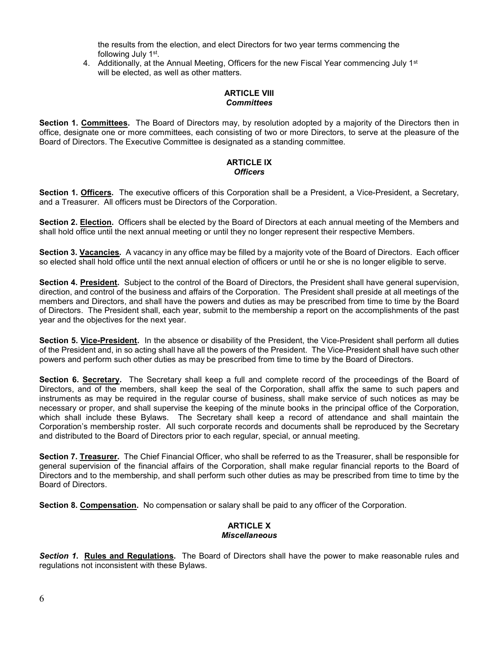the results from the election, and elect Directors for two year terms commencing the following July 1<sup>st</sup>.

4. Additionally, at the Annual Meeting, Officers for the new Fiscal Year commencing July  $1<sup>st</sup>$ will be elected, as well as other matters.

## ARTICLE VIII **Committees**

Section 1. Committees. The Board of Directors may, by resolution adopted by a majority of the Directors then in office, designate one or more committees, each consisting of two or more Directors, to serve at the pleasure of the Board of Directors. The Executive Committee is designated as a standing committee.

#### ARTICLE IX **Officers**

Section 1. **Officers**. The executive officers of this Corporation shall be a President, a Vice-President, a Secretary, and a Treasurer. All officers must be Directors of the Corporation.

Section 2. Election. Officers shall be elected by the Board of Directors at each annual meeting of the Members and shall hold office until the next annual meeting or until they no longer represent their respective Members.

Section 3. Vacancies. A vacancy in any office may be filled by a majority vote of the Board of Directors. Each officer so elected shall hold office until the next annual election of officers or until he or she is no longer eligible to serve.

Section 4. President. Subject to the control of the Board of Directors, the President shall have general supervision, direction, and control of the business and affairs of the Corporation. The President shall preside at all meetings of the members and Directors, and shall have the powers and duties as may be prescribed from time to time by the Board of Directors. The President shall, each year, submit to the membership a report on the accomplishments of the past year and the objectives for the next year.

Section 5. Vice-President. In the absence or disability of the President, the Vice-President shall perform all duties of the President and, in so acting shall have all the powers of the President. The Vice-President shall have such other powers and perform such other duties as may be prescribed from time to time by the Board of Directors.

Section 6. Secretary. The Secretary shall keep a full and complete record of the proceedings of the Board of Directors, and of the members, shall keep the seal of the Corporation, shall affix the same to such papers and instruments as may be required in the regular course of business, shall make service of such notices as may be necessary or proper, and shall supervise the keeping of the minute books in the principal office of the Corporation, which shall include these Bylaws. The Secretary shall keep a record of attendance and shall maintain the Corporation's membership roster. All such corporate records and documents shall be reproduced by the Secretary and distributed to the Board of Directors prior to each regular, special, or annual meeting.

Section 7. Treasurer. The Chief Financial Officer, who shall be referred to as the Treasurer, shall be responsible for general supervision of the financial affairs of the Corporation, shall make regular financial reports to the Board of Directors and to the membership, and shall perform such other duties as may be prescribed from time to time by the Board of Directors.

Section 8. Compensation. No compensation or salary shall be paid to any officer of the Corporation.

# ARTICLE X **Miscellaneous**

Section 1. Rules and Regulations. The Board of Directors shall have the power to make reasonable rules and regulations not inconsistent with these Bylaws.